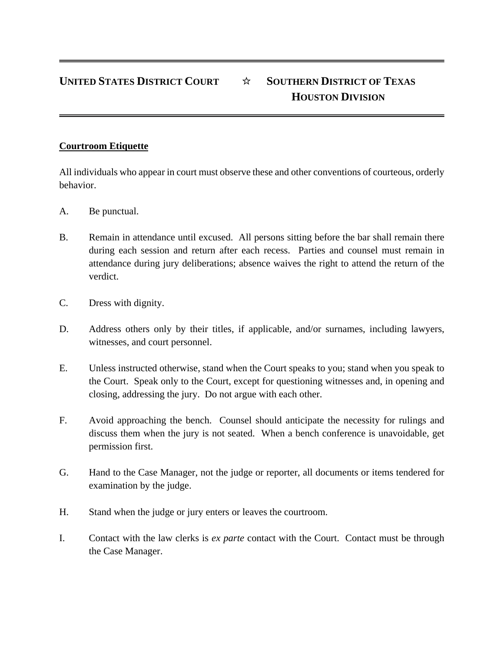## **UNITED STATES DISTRICT COURT** ☆ **SOUTHERN DISTRICT OF TEXAS HOUSTON DIVISION**

## **Courtroom Etiquette**

All individuals who appear in court must observe these and other conventions of courteous, orderly behavior.

- A. Be punctual.
- B. Remain in attendance until excused. All persons sitting before the bar shall remain there during each session and return after each recess. Parties and counsel must remain in attendance during jury deliberations; absence waives the right to attend the return of the verdict.
- C. Dress with dignity.
- D. Address others only by their titles, if applicable, and/or surnames, including lawyers, witnesses, and court personnel.
- E. Unless instructed otherwise, stand when the Court speaks to you; stand when you speak to the Court. Speak only to the Court, except for questioning witnesses and, in opening and closing, addressing the jury. Do not argue with each other.
- F. Avoid approaching the bench. Counsel should anticipate the necessity for rulings and discuss them when the jury is not seated. When a bench conference is unavoidable, get permission first.
- G. Hand to the Case Manager, not the judge or reporter, all documents or items tendered for examination by the judge.
- H. Stand when the judge or jury enters or leaves the courtroom.
- I. Contact with the law clerks is *ex parte* contact with the Court. Contact must be through the Case Manager.